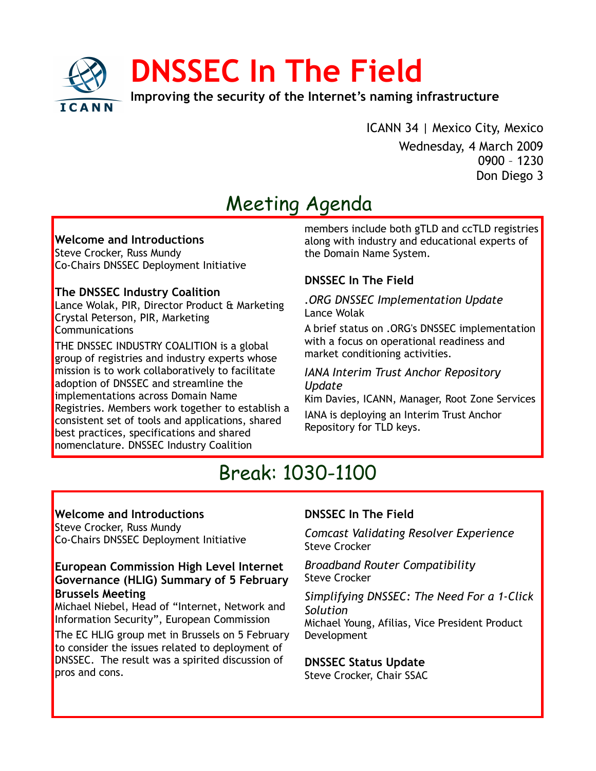

ICANN 34 | Mexico City, Mexico Wednesday, 4 March 2009 0900 – 1230 Don Diego 3

# Meeting Agenda

#### **Welcome and Introductions**

Steve Crocker, Russ Mundy Co-Chairs DNSSEC Deployment Initiative

### **The DNSSEC Industry Coalition**

Lance Wolak, PIR, Director Product & Marketing Crystal Peterson, PIR, Marketing Communications

THE DNSSEC INDUSTRY COALITION is a global group of registries and industry experts whose mission is to work collaboratively to facilitate adoption of DNSSEC and streamline the implementations across Domain Name Registries. Members work together to establish a consistent set of tools and applications, shared best practices, specifications and shared nomenclature. DNSSEC Industry Coalition

members include both gTLD and ccTLD registries along with industry and educational experts of the Domain Name System.

# **DNSSEC In The Field**

*.ORG DNSSEC Implementation Update* Lance Wolak

A brief status on .ORG's DNSSEC implementation with a focus on operational readiness and market conditioning activities.

#### *IANA Interim Trust Anchor Repository Update*

Kim Davies, ICANN, Manager, Root Zone Services

IANA is deploying an Interim Trust Anchor Repository for TLD keys.

# Break: 1030-1100

## **Welcome and Introductions**

Steve Crocker, Russ Mundy Co-Chairs DNSSEC Deployment Initiative

## **European Commission High Level Internet Governance (HLIG) Summary of 5 February Brussels Meeting**

Michael Niebel, Head of "Internet, Network and Information Security", European Commission

The EC HLIG group met in Brussels on 5 February to consider the issues related to deployment of DNSSEC. The result was a spirited discussion of pros and cons.

# **DNSSEC In The Field**

*Comcast Validating Resolver Experience* Steve Crocker

*Broadband Router Compatibility* Steve Crocker

*Simplifying DNSSEC: The Need For a 1-Click Solution*

Michael Young, Afilias, Vice President Product Development

**DNSSEC Status Update**

Steve Crocker, Chair SSAC